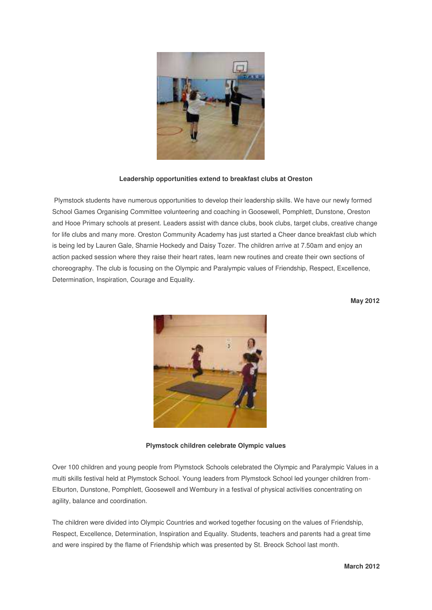

## **Leadership opportunities extend to breakfast clubs at Oreston**

 Plymstock students have numerous opportunities to develop their leadership skills. We have our newly formed School Games Organising Committee volunteering and coaching in Goosewell, Pomphlett, Dunstone, Oreston and Hooe Primary schools at present. Leaders assist with dance clubs, book clubs, target clubs, creative change for life clubs and many more. Oreston Community Academy has just started a Cheer dance breakfast club which is being led by Lauren Gale, Sharnie Hockedy and Daisy Tozer. The children arrive at 7.50am and enjoy an action packed session where they raise their heart rates, learn new routines and create their own sections of choreography. The club is focusing on the Olympic and Paralympic values of Friendship, Respect, Excellence, Determination, Inspiration, Courage and Equality.

**May 2012** 



**Plymstock children celebrate Olympic values** 

Over 100 children and young people from Plymstock Schools celebrated the Olympic and Paralympic Values in a multi skills festival held at Plymstock School. Young leaders from Plymstock School led younger children from-Elburton, Dunstone, Pomphlett, Goosewell and Wembury in a festival of physical activities concentrating on agility, balance and coordination.

The children were divided into Olympic Countries and worked together focusing on the values of Friendship, Respect, Excellence, Determination, Inspiration and Equality. Students, teachers and parents had a great time and were inspired by the flame of Friendship which was presented by St. Breock School last month.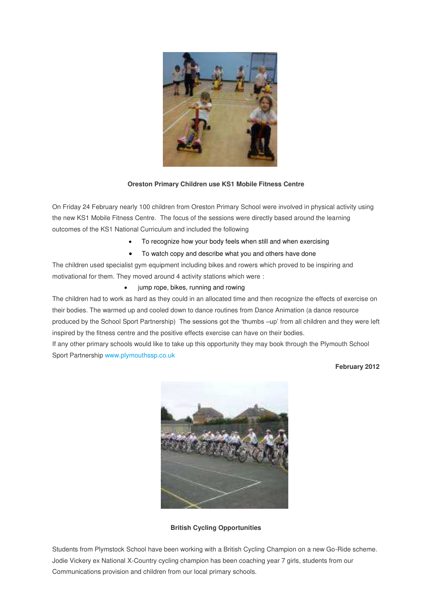

## **Oreston Primary Children use KS1 Mobile Fitness Centre**

On Friday 24 February nearly 100 children from Oreston Primary School were involved in physical activity using the new KS1 Mobile Fitness Centre. The focus of the sessions were directly based around the learning outcomes of the KS1 National Curriculum and included the following

- To recognize how your body feels when still and when exercising
- To watch copy and describe what you and others have done

The children used specialist gym equipment including bikes and rowers which proved to be inspiring and motivational for them. They moved around 4 activity stations which were :

• jump rope, bikes, running and rowing

The children had to work as hard as they could in an allocated time and then recognize the effects of exercise on their bodies. The warmed up and cooled down to dance routines from Dance Animation (a dance resource produced by the School Sport Partnership) The sessions got the 'thumbs –up' from all children and they were left inspired by the fitness centre and the positive effects exercise can have on their bodies.

If any other primary schools would like to take up this opportunity they may book through the Plymouth School Sport Partnershi[p www.plymouthssp.co.uk](http://www.plymouthssp.co.uk/)

**February 2012** 



**British Cycling Opportunities** 

Students from Plymstock School have been working with a British Cycling Champion on a new Go-Ride scheme. Jodie Vickery ex National X-Country cycling champion has been coaching year 7 girls, students from our Communications provision and children from our local primary schools.